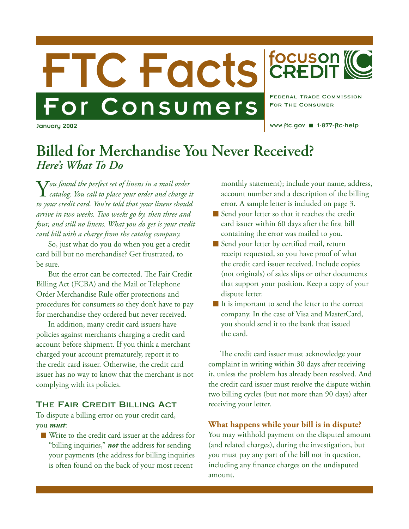



focuson<br>CREDIT

For The Consumer

www.ftc.gov ■ 1-877-ftc-help

# **Billed for Merchandise You Never Received?** *Here's What To Do*

Y*ou found the perfect set of linens in a mail order catalog. You call to place your order and charge it to your credit card. You're told that your linens should arrive in two weeks. Two weeks go by, then three and four, and still no linens. What you do get is your credit card bill with a charge from the catalog company.*

So, just what do you do when you get a credit card bill but no merchandise? Get frustrated, to be sure.

But the error can be corrected. The Fair Credit Billing Act (FCBA) and the Mail or Telephone Order Merchandise Rule offer protections and procedures for consumers so they don't have to pay for merchandise they ordered but never received.

In addition, many credit card issuers have policies against merchants charging a credit card account before shipment. If you think a merchant charged your account prematurely, report it to the credit card issuer. Otherwise, the credit card issuer has no way to know that the merchant is not complying with its policies.

## The Fair Credit Billing Act

To dispute a billing error on your credit card, you *must*:

 Write to the credit card issuer at the address for "billing inquiries," *not* the address for sending your payments (the address for billing inquiries is often found on the back of your most recent

monthly statement); include your name, address, account number and a description of the billing error. A sample letter is included on page 3.

- Send your letter so that it reaches the credit card issuer within 60 days after the first bill containing the error was mailed to you.
- Send your letter by certified mail, return receipt requested, so you have proof of what the credit card issuer received. Include copies (not originals) of sales slips or other documents that support your position. Keep a copy of your dispute letter.
- It is important to send the letter to the correct company. In the case of Visa and MasterCard, you should send it to the bank that issued the card.

The credit card issuer must acknowledge your complaint in writing within 30 days after receiving it, unless the problem has already been resolved. And the credit card issuer must resolve the dispute within two billing cycles (but not more than 90 days) after receiving your letter.

**What happens while your bill is in dispute?** You may withhold payment on the disputed amount (and related charges), during the investigation, but you must pay any part of the bill not in question, including any finance charges on the undisputed amount.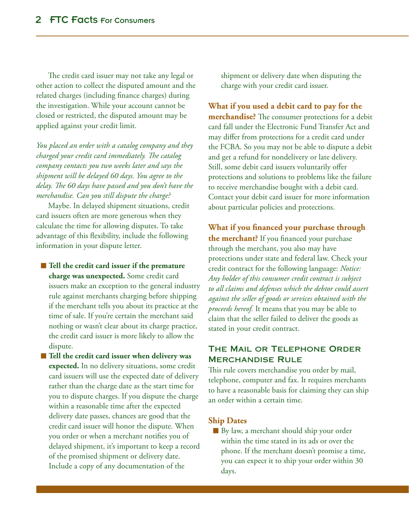The credit card issuer may not take any legal or other action to collect the disputed amount and the related charges (including finance charges) during the investigation. While your account cannot be closed or restricted, the disputed amount may be applied against your credit limit.

*You placed an order with a catalog company and they charged your credit card immediately. The catalog company contacts you two weeks later and says the shipment will be delayed 60 days. You agree to the delay. The 60 days have passed and you don't have the merchandise. Can you still dispute the charge?*

Maybe. In delayed shipment situations, credit card issuers often are more generous when they calculate the time for allowing disputes. To take advantage of this flexibility, include the following information in your dispute letter.

**■ Tell the credit card issuer if the premature charge was unexpected.** Some credit card issuers make an exception to the general industry rule against merchants charging before shipping if the merchant tells you about its practice at the time of sale. If you're certain the merchant said nothing or wasn't clear about its charge practice, the credit card issuer is more likely to allow the dispute.

■ Tell the credit card issuer when delivery was **expected.** In no delivery situations, some credit card issuers will use the expected date of delivery rather than the charge date as the start time for you to dispute charges. If you dispute the charge within a reasonable time after the expected delivery date passes, chances are good that the credit card issuer will honor the dispute. When you order or when a merchant notifies you of delayed shipment, it's important to keep a record of the promised shipment or delivery date. Include a copy of any documentation of the

shipment or delivery date when disputing the charge with your credit card issuer.

## **What if you used a debit card to pay for the**

**merchandise?** The consumer protections for a debit card fall under the Electronic Fund Transfer Act and may differ from protections for a credit card under the FCBA. So you may not be able to dispute a debit and get a refund for nondelivery or late delivery. Still, some debit card issuers voluntarily offer protections and solutions to problems like the failure to receive merchandise bought with a debit card. Contact your debit card issuer for more information about particular policies and protections.

# **What if you financed your purchase through**

**the merchant?** If you financed your purchase through the merchant, you also may have protections under state and federal law. Check your credit contract for the following language: *Notice: Any holder of this consumer credit contract is subject to all claims and defenses which the debtor could assert against the seller of goods or services obtained with the proceeds hereof.* It means that you may be able to claim that the seller failed to deliver the goods as stated in your credit contract.

# The Mail or Telephone Order Merchandise Rule

This rule covers merchandise you order by mail, telephone, computer and fax. It requires merchants to have a reasonable basis for claiming they can ship an order within a certain time.

#### **Ship Dates**

By law, a merchant should ship your order within the time stated in its ads or over the phone. If the merchant doesn't promise a time, you can expect it to ship your order within 30 days.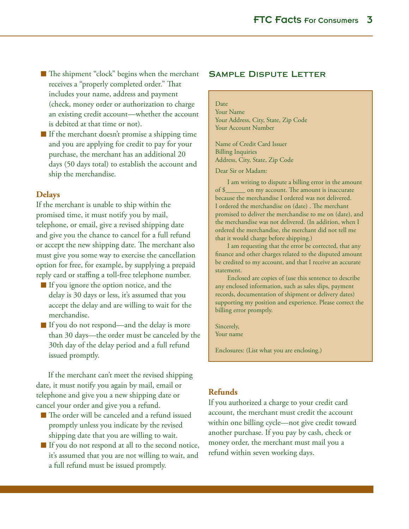- The shipment "clock" begins when the merchant receives a "properly completed order." That includes your name, address and payment (check, money order or authorization to charge an existing credit account—whether the account is debited at that time or not).
- $\blacksquare$  If the merchant doesn't promise a shipping time and you are applying for credit to pay for your purchase, the merchant has an additional 20 days (50 days total) to establish the account and ship the merchandise.

#### **Delays**

If the merchant is unable to ship within the promised time, it must notify you by mail, telephone, or email, give a revised shipping date and give you the chance to cancel for a full refund or accept the new shipping date. The merchant also must give you some way to exercise the cancellation option for free, for example, by supplying a prepaid reply card or staffing a toll-free telephone number.

- If you ignore the option notice, and the delay is 30 days or less, it's assumed that you accept the delay and are willing to wait for the merchandise.
- If you do not respond—and the delay is more than 30 days—the order must be canceled by the 30th day of the delay period and a full refund issued promptly.

If the merchant can't meet the revised shipping date, it must notify you again by mail, email or telephone and give you a new shipping date or cancel your order and give you a refund.

- The order will be canceled and a refund issued promptly unless you indicate by the revised shipping date that you are willing to wait.
- If you do not respond at all to the second notice, it's assumed that you are not willing to wait, and a full refund must be issued promptly.

## Sample Dispute Letter

#### Date

Your Name Your Address, City, State, Zip Code Your Account Number

Name of Credit Card Issuer Billing Inquiries Address, City, State, Zip Code

Dear Sir or Madam:

I am writing to dispute a billing error in the amount of \$\_\_\_\_\_\_ on my account. The amount is inaccurate because the merchandise I ordered was not delivered. I ordered the merchandise on (date) . The merchant promised to deliver the merchandise to me on (date), and the merchandise was not delivered. (In addition, when I ordered the merchandise, the merchant did not tell me that it would charge before shipping.)

I am requesting that the error be corrected, that any finance and other charges related to the disputed amount be credited to my account, and that I receive an accurate statement.

Enclosed are copies of (use this sentence to describe any enclosed information, such as sales slips, payment records, documentation of shipment or delivery dates) supporting my position and experience. Please correct the billing error promptly.

Sincerely, Your name

Enclosures: (List what you are enclosing.)

#### **Refunds**

If you authorized a charge to your credit card account, the merchant must credit the account within one billing cycle—not give credit toward another purchase. If you pay by cash, check or money order, the merchant must mail you a refund within seven working days.